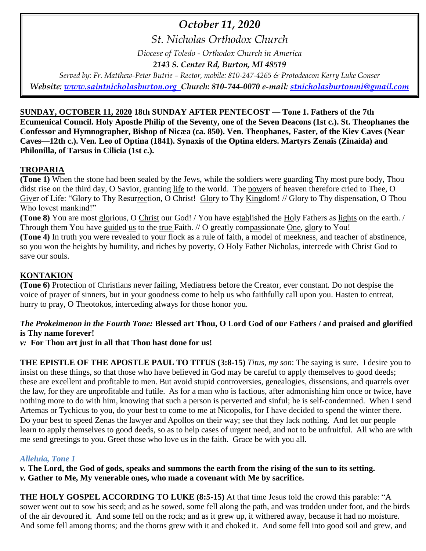# *October 11, 2020*

*St. Nicholas Orthodox Church*

*Diocese of Toledo - Orthodox Church in America*

*2143 S. Center Rd, Burton, MI 48519*

*Served by: Fr. Matthew-Peter Butrie – Rector, mobile: 810-247-4265 & Protodeacon Kerry Luke Gonser Website: [www.saintnicholasburton.org](http://www.saintnicholasburton.org/) Church: 810-744-0070 e-mail: [stnicholasburtonmi@gmail.com](mailto:stnicholasburtonmi@gmail.com)*

**SUNDAY, OCTOBER 11, 2020 18th SUNDAY AFTER PENTECOST — Tone 1. Fathers of the 7th Ecumenical Council. Holy Apostle Philip of the Seventy, one of the Seven Deacons (1st c.). St. Theophanes the Confessor and Hymnographer, Bishop of Nicæa (ca. 850). Ven. Theophanes, Faster, of the Kiev Caves (Near Caves—12th c.). Ven. Leo of Optina (1841). Synaxis of the Optina elders. Martyrs Zenaïs (Zinaída) and Philonilla, of Tarsus in Cilicia (1st c.).**

# **TROPARIA**

**(Tone 1)** When the stone had been sealed by the Jews, while the soldiers were guarding Thy most pure body, Thou didst rise on the third day, O Savior, granting life to the world. The powers of heaven therefore cried to Thee, O Giver of Life: "Glory to Thy Resurrection, O Christ! Glory to Thy Kingdom! // Glory to Thy dispensation, O Thou Who lovest mankind!"

**(Tone 8)** You are most glorious, O Christ our God! / You have established the Holy Fathers as lights on the earth. / Through them You have guided us to the true Faith. // O greatly compassionate One, glory to You!

**(Tone 4)** In truth you were revealed to your flock as a rule of faith, a model of meekness, and teacher of abstinence, so you won the heights by humility, and riches by poverty, O Holy Father Nicholas, intercede with Christ God to save our souls.

# **KONTAKION**

**(Tone 6)** Protection of Christians never failing, Mediatress before the Creator, ever constant. Do not despise the voice of prayer of sinners, but in your goodness come to help us who faithfully call upon you. Hasten to entreat, hurry to pray, O Theotokos, interceding always for those honor you.

# *The Prokeimenon in the Fourth Tone:* **Blessed art Thou, O Lord God of our Fathers / and praised and glorified is Thy name forever!**

*v:* **For Thou art just in all that Thou hast done for us!**

**THE EPISTLE OF THE APOSTLE PAUL TO TITUS (3:8-15)** *Titus, my son*: The saying is sure. I desire you to insist on these things, so that those who have believed in God may be careful to apply themselves to good deeds; these are excellent and profitable to men. But avoid stupid controversies, genealogies, dissensions, and quarrels over the law, for they are unprofitable and futile. As for a man who is factious, after admonishing him once or twice, have nothing more to do with him, knowing that such a person is perverted and sinful; he is self-condemned. When I send Artemas or Tychicus to you, do your best to come to me at Nicopolis, for I have decided to spend the winter there. Do your best to speed Zenas the lawyer and Apollos on their way; see that they lack nothing. And let our people learn to apply themselves to good deeds, so as to help cases of urgent need, and not to be unfruitful. All who are with me send greetings to you. Greet those who love us in the faith. Grace be with you all.

# *Alleluia, Tone 1*

*v.* **The Lord, the God of gods, speaks and summons the earth from the rising of the sun to its setting.**

*v.* **Gather to Me, My venerable ones, who made a covenant with Me by sacrifice.**

**THE HOLY GOSPEL ACCORDING TO LUKE (8:5-15)** At that time Jesus told the crowd this parable: "A sower went out to sow his seed; and as he sowed, some fell along the path, and was trodden under foot, and the birds of the air devoured it. And some fell on the rock; and as it grew up, it withered away, because it had no moisture. And some fell among thorns; and the thorns grew with it and choked it. And some fell into good soil and grew, and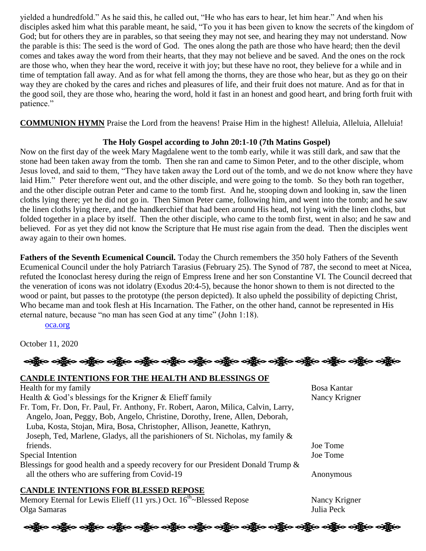yielded a hundredfold." As he said this, he called out, "He who has ears to hear, let him hear." And when his disciples asked him what this parable meant, he said, "To you it has been given to know the secrets of the kingdom of God; but for others they are in parables, so that seeing they may not see, and hearing they may not understand. Now the parable is this: The seed is the word of God. The ones along the path are those who have heard; then the devil comes and takes away the word from their hearts, that they may not believe and be saved. And the ones on the rock are those who, when they hear the word, receive it with joy; but these have no root, they believe for a while and in time of temptation fall away. And as for what fell among the thorns, they are those who hear, but as they go on their way they are choked by the cares and riches and pleasures of life, and their fruit does not mature. And as for that in the good soil, they are those who, hearing the word, hold it fast in an honest and good heart, and bring forth fruit with patience."

**COMMUNION HYMN** Praise the Lord from the heavens! Praise Him in the highest! Alleluia, Alleluia, Alleluia!

## **The Holy Gospel according to John 20:1-10 (7th Matins Gospel)**

Now on the first day of the week Mary Magdalene went to the tomb early, while it was still dark, and saw that the stone had been taken away from the tomb. Then she ran and came to Simon Peter, and to the other disciple, whom Jesus loved, and said to them, "They have taken away the Lord out of the tomb, and we do not know where they have laid Him." Peter therefore went out, and the other disciple, and were going to the tomb. So they both ran together, and the other disciple outran Peter and came to the tomb first. And he, stooping down and looking in, saw the linen cloths lying there; yet he did not go in. Then Simon Peter came, following him, and went into the tomb; and he saw the linen cloths lying there, and the handkerchief that had been around His head, not lying with the linen cloths, but folded together in a place by itself. Then the other disciple, who came to the tomb first, went in also; and he saw and believed. For as yet they did not know the Scripture that He must rise again from the dead. Then the disciples went away again to their own homes.

**Fathers of the Seventh Ecumenical Council.** Today the Church remembers the 350 holy Fathers of the Seventh Ecumenical Council under the holy Patriarch Tarasius (February 25). The Synod of 787, the second to meet at Nicea, refuted the Iconoclast heresy during the reign of Empress Irene and her son Constantine VI. The Council decreed that the veneration of icons was not idolatry (Exodus 20:4-5), because the honor shown to them is not directed to the wood or paint, but passes to the prototype (the person depicted). It also upheld the possibility of depicting Christ, Who became man and took flesh at His Incarnation. The Father, on the other hand, cannot be represented in His eternal nature, because "no man has seen God at any time" (John 1:18).

#### [oca.org](https://www.oca.org/saints/lives/2020/10/11/70-commemoration-of-the-holy-fathers-of-the-seventh-ecumenical-coun)

October 11, 2020

| બંફ્રીંબ બંફ્રીંબ બંફ્રીંબ બંફ્રીંબ બંફ્રીંબ બંફ્રીંબ બંફ્રીંબ બંફ્રીંબ બંફ્રીંબ બંફ્રીંબ બંફ્રીંબ બંફ્રીંબ બં |  |  |  |  |  |  |  |  |  |  |  |  |  |  |
|----------------------------------------------------------------------------------------------------------------|--|--|--|--|--|--|--|--|--|--|--|--|--|--|
|----------------------------------------------------------------------------------------------------------------|--|--|--|--|--|--|--|--|--|--|--|--|--|--|

## **CANDLE INTENTIONS FOR THE HEALTH AND BLESSINGS OF**

Health for my family Bosa Kantar Bosa Kantar Health & God's blessings for the Krigner & Elieff family Nancy Krigner Fr. Tom, Fr. Don, Fr. Paul, Fr. Anthony, Fr. Robert, Aaron, Milica, Calvin, Larry, Angelo, Joan, Peggy, Bob, Angelo, Christine, Dorothy, Irene, Allen, Deborah, Luba, Kosta, Stojan, Mira, Bosa, Christopher, Allison, Jeanette, Kathryn, Joseph, Ted, Marlene, Gladys, all the parishioners of St. Nicholas, my family & friends. Joe Tome Special Intention Joe Tome Blessings for good health and a speedy recovery for our President Donald Trump & all the others who are suffering from Covid-19 Anonymous **CANDLE INTENTIONS FOR BLESSED REPOSE**

Memory Eternal for Lewis Elieff (11 yrs.) Oct.  $16^{th}$ ~Blessed Repose Nancy Krigner Olga Samaras Julia Peck

ကြို့လ ဝတ္တို့လ ဝတ္တို့လ ဝတ္တို့လ ဝတ္တို့လ ဝတ္တို့လ ဝတ္တို့လ ဝတ္တို့လ ဝတ္တို့လ ဝတ္တို့လ ဝတ္တို့လ ဝတ္တို့လ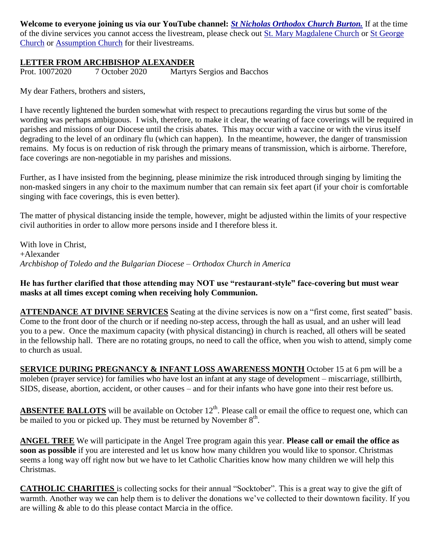**Welcome to everyone joining us via our YouTube channel:** *[St Nicholas Orthodox Church Burton.](https://www.youtube.com/channel/UC59tV-Re443z-GCoETAUvfA)* If at the time of the divine services you cannot access the livestream, please check out [St. Mary Magdalene Church](https://www.youtube.com/channel/UClHAqZrWkXdYELujbbIslHg) or [St George](https://www.youtube.com/channel/UCpLWfxMIJK4uQOV41ekE6Wg/videos?view=2&flow=grid)  [Church](https://www.youtube.com/channel/UCpLWfxMIJK4uQOV41ekE6Wg/videos?view=2&flow=grid) or [Assumption Church](https://www.facebook.com/AssumptionGrandBlanc/) for their livestreams.

## **LETTER FROM ARCHBISHOP ALEXANDER**

Prot. 10072020 7 October 2020 Martyrs Sergios and Bacchos

My dear Fathers, brothers and sisters,

I have recently lightened the burden somewhat with respect to precautions regarding the virus but some of the wording was perhaps ambiguous. I wish, therefore, to make it clear, the wearing of face coverings will be required in parishes and missions of our Diocese until the crisis abates. This may occur with a vaccine or with the virus itself degrading to the level of an ordinary flu (which can happen). In the meantime, however, the danger of transmission remains. My focus is on reduction of risk through the primary means of transmission, which is airborne. Therefore, face coverings are non-negotiable in my parishes and missions.

Further, as I have insisted from the beginning, please minimize the risk introduced through singing by limiting the non-masked singers in any choir to the maximum number that can remain six feet apart (if your choir is comfortable singing with face coverings, this is even better).

The matter of physical distancing inside the temple, however, might be adjusted within the limits of your respective civil authorities in order to allow more persons inside and I therefore bless it.

With love in Christ, +Alexander *Archbishop of Toledo and the Bulgarian Diocese – Orthodox Church in America*

## **He has further clarified that those attending may NOT use "restaurant-style" face-covering but must wear masks at all times except coming when receiving holy Communion.**

**ATTENDANCE AT DIVINE SERVICES** Seating at the divine services is now on a "first come, first seated" basis. Come to the front door of the church or if needing no-step access, through the hall as usual, and an usher will lead you to a pew. Once the maximum capacity (with physical distancing) in church is reached, all others will be seated in the fellowship hall. There are no rotating groups, no need to call the office, when you wish to attend, simply come to church as usual.

**SERVICE DURING PREGNANCY & INFANT LOSS AWARENESS MONTH** October 15 at 6 pm will be a moleben (prayer service) for families who have lost an infant at any stage of development – miscarriage, stillbirth, SIDS, disease, abortion, accident, or other causes – and for their infants who have gone into their rest before us.

ABSENTEE BALLOTS will be available on October 12<sup>th</sup>. Please call or email the office to request one, which can be mailed to you or picked up. They must be returned by November  $8<sup>th</sup>$ .

**ANGEL TREE** We will participate in the Angel Tree program again this year. **Please call or email the office as soon as possible** if you are interested and let us know how many children you would like to sponsor. Christmas seems a long way off right now but we have to let Catholic Charities know how many children we will help this Christmas.

**CATHOLIC CHARITIES** is collecting socks for their annual "Socktober". This is a great way to give the gift of warmth. Another way we can help them is to deliver the donations we've collected to their downtown facility. If you are willing & able to do this please contact Marcia in the office.